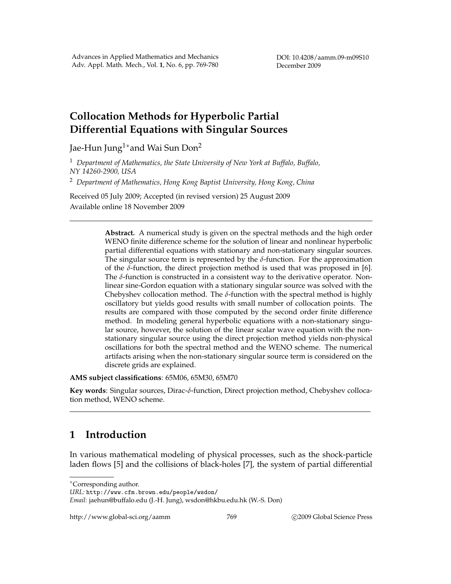# **Collocation Methods for Hyperbolic Partial Differential Equations with Singular Sources**

Jae-Hun Jung<sup>1</sup>\* and Wai Sun Don<sup>2</sup>

<sup>1</sup> *Department of Mathematics, the State University of New York at Buffalo, Buffalo, NY 14260-2900, USA*

<sup>2</sup> *Department of Mathematics, Hong Kong Baptist University, Hong Kong, China*

Received 05 July 2009; Accepted (in revised version) 25 August 2009 Available online 18 November 2009

> **Abstract.** A numerical study is given on the spectral methods and the high order WENO finite difference scheme for the solution of linear and nonlinear hyperbolic partial differential equations with stationary and non-stationary singular sources. The singular source term is represented by the *δ*-function. For the approximation of the  $\delta$ -function, the direct projection method is used that was proposed in [6]. The *δ*-function is constructed in a consistent way to the derivative operator. Nonlinear sine-Gordon equation with a stationary singular source was solved with the Chebyshev collocation method. The  $\delta$ -function with the spectral method is highly oscillatory but yields good results with small number of collocation points. The results are compared with those computed by the second order finite difference method. In modeling general hyperbolic equations with a non-stationary singular source, however, the solution of the linear scalar wave equation with the nonstationary singular source using the direct projection method yields non-physical oscillations for both the spectral method and the WENO scheme. The numerical artifacts arising when the non-stationary singular source term is considered on the discrete grids are explained.

**AMS subject classifications**: 65M06, 65M30, 65M70

**Key words**: Singular sources, Dirac-*δ*-function, Direct projection method, Chebyshev collocation method, WENO scheme.

## **1 Introduction**

In various mathematical modeling of physical processes, such as the shock-particle laden flows [5] and the collisions of black-holes [7], the system of partial differential

<sup>∗</sup>Corresponding author.

*URL:* http://www.cfm.brown.edu/people/wsdon/

*Email:* jaehun@buffalo.edu (J.-H. Jung), wsdon@hkbu.edu.hk (W.-S. Don)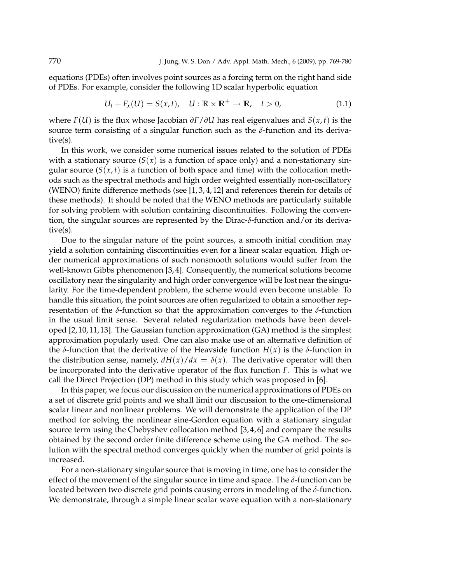equations (PDEs) often involves point sources as a forcing term on the right hand side of PDEs. For example, consider the following 1D scalar hyperbolic equation

$$
U_t + F_x(U) = S(x, t), \quad U : \mathbb{R} \times \mathbb{R}^+ \to \mathbb{R}, \quad t > 0,
$$
\n(1.1)

where *F*(*U*) is the flux whose Jacobian *∂F*/*∂U* has real eigenvalues and *S*(*x*, *t*) is the source term consisting of a singular function such as the *δ*-function and its derivative(s).

In this work, we consider some numerical issues related to the solution of PDEs with a stationary source  $(S(x))$  is a function of space only) and a non-stationary singular source  $(S(x, t))$  is a function of both space and time) with the collocation methods such as the spectral methods and high order weighted essentially non-oscillatory (WENO) finite difference methods (see [1, 3, 4, 12] and references therein for details of these methods). It should be noted that the WENO methods are particularly suitable for solving problem with solution containing discontinuities. Following the convention, the singular sources are represented by the Dirac-*δ*-function and/or its derivative(s).

Due to the singular nature of the point sources, a smooth initial condition may yield a solution containing discontinuities even for a linear scalar equation. High order numerical approximations of such nonsmooth solutions would suffer from the well-known Gibbs phenomenon [3, 4]. Consequently, the numerical solutions become oscillatory near the singularity and high order convergence will be lost near the singularity. For the time-dependent problem, the scheme would even become unstable. To handle this situation, the point sources are often regularized to obtain a smoother representation of the *δ*-function so that the approximation converges to the *δ*-function in the usual limit sense. Several related regularization methods have been developed [2, 10, 11, 13]. The Gaussian function approximation (GA) method is the simplest approximation popularly used. One can also make use of an alternative definition of the *δ*-function that the derivative of the Heavside function *H*(*x*) is the *δ*-function in the distribution sense, namely,  $dH(x)/dx = \delta(x)$ . The derivative operator will then be incorporated into the derivative operator of the flux function *F*. This is what we call the Direct Projection (DP) method in this study which was proposed in [6].

In this paper, we focus our discussion on the numerical approximations of PDEs on a set of discrete grid points and we shall limit our discussion to the one-dimensional scalar linear and nonlinear problems. We will demonstrate the application of the DP method for solving the nonlinear sine-Gordon equation with a stationary singular source term using the Chebyshev collocation method [3, 4, 6] and compare the results obtained by the second order finite difference scheme using the GA method. The solution with the spectral method converges quickly when the number of grid points is increased.

For a non-stationary singular source that is moving in time, one has to consider the effect of the movement of the singular source in time and space. The *δ*-function can be located between two discrete grid points causing errors in modeling of the *δ*-function. We demonstrate, through a simple linear scalar wave equation with a non-stationary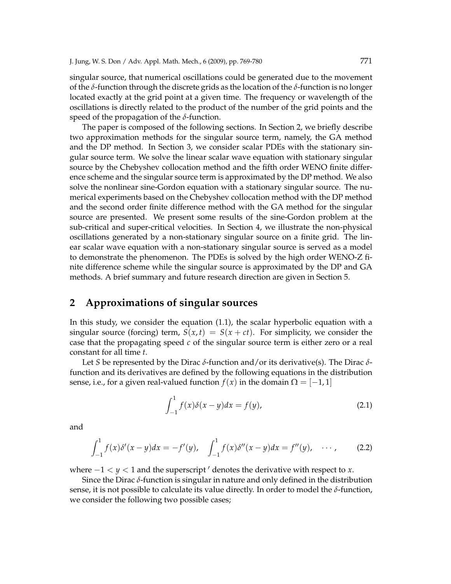singular source, that numerical oscillations could be generated due to the movement of the *δ*-function through the discrete grids as the location of the *δ*-function is no longer located exactly at the grid point at a given time. The frequency or wavelength of the oscillations is directly related to the product of the number of the grid points and the speed of the propagation of the *δ*-function.

The paper is composed of the following sections. In Section 2, we briefly describe two approximation methods for the singular source term, namely, the GA method and the DP method. In Section 3, we consider scalar PDEs with the stationary singular source term. We solve the linear scalar wave equation with stationary singular source by the Chebyshev collocation method and the fifth order WENO finite difference scheme and the singular source term is approximated by the DP method. We also solve the nonlinear sine-Gordon equation with a stationary singular source. The numerical experiments based on the Chebyshev collocation method with the DP method and the second order finite difference method with the GA method for the singular source are presented. We present some results of the sine-Gordon problem at the sub-critical and super-critical velocities. In Section 4, we illustrate the non-physical oscillations generated by a non-stationary singular source on a finite grid. The linear scalar wave equation with a non-stationary singular source is served as a model to demonstrate the phenomenon. The PDEs is solved by the high order WENO-Z finite difference scheme while the singular source is approximated by the DP and GA methods. A brief summary and future research direction are given in Section 5.

### **2 Approximations of singular sources**

In this study, we consider the equation (1.1), the scalar hyperbolic equation with a singular source (forcing) term,  $S(x,t) = S(x+ct)$ . For simplicity, we consider the case that the propagating speed *c* of the singular source term is either zero or a real constant for all time *t*.

Let *S* be represented by the Dirac *δ*-function and/or its derivative(s). The Dirac *δ*function and its derivatives are defined by the following equations in the distribution sense, i.e., for a given real-valued function  $f(x)$  in the domain  $\Omega = [-1, 1]$ 

$$
\int_{-1}^{1} f(x)\delta(x - y)dx = f(y),
$$
 (2.1)

and

$$
\int_{-1}^{1} f(x)\delta'(x-y)dx = -f'(y), \quad \int_{-1}^{1} f(x)\delta''(x-y)dx = f''(y), \quad \cdots,
$$
 (2.2)

where  $-1 < y < 1$  and the superscript  $\prime$  denotes the derivative with respect to *x*.

Since the Dirac *δ*-function is singular in nature and only defined in the distribution sense, it is not possible to calculate its value directly. In order to model the *δ*-function, we consider the following two possible cases;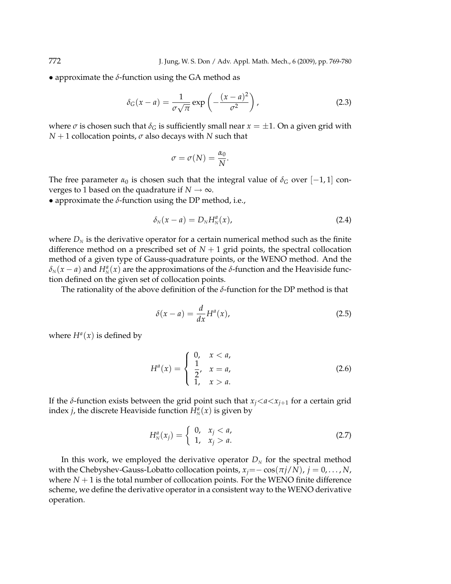• approximate the  $\delta$ -function using the GA method as

$$
\delta_G(x-a) = \frac{1}{\sigma\sqrt{\pi}} \exp\left(-\frac{(x-a)^2}{\sigma^2}\right),\tag{2.3}
$$

where  $\sigma$  is chosen such that  $\delta_G$  is sufficiently small near  $x = \pm 1$ . On a given grid with *N* + 1 collocation points, *σ* also decays with *N* such that

$$
\sigma = \sigma(N) = \frac{\alpha_0}{N}.
$$

The free parameter  $\alpha_0$  is chosen such that the integral value of  $\delta_G$  over [-1,1] converges to 1 based on the quadrature if  $N \to \infty$ .

• approximate the  $\delta$ -function using the DP method, i.e.,

$$
\delta_N(x-a)=D_N H_N^a(x),\qquad \qquad (2.4)
$$

where  $D_N$  is the derivative operator for a certain numerical method such as the finite difference method on a prescribed set of  $N+1$  grid points, the spectral collocation method of a given type of Gauss-quadrature points, or the WENO method. And the  $\delta_N(x-a)$  and  $H_N^a(x)$  are the approximations of the *δ*-function and the Heaviside function defined on the given set of collocation points.

The rationality of the above definition of the *δ*-function for the DP method is that

$$
\delta(x - a) = \frac{d}{dx} H^a(x),\tag{2.5}
$$

where  $H^a(x)$  is defined by

$$
H^{a}(x) = \begin{cases} 0, & x < a, \\ \frac{1}{2}, & x = a, \\ 1, & x > a. \end{cases}
$$
 (2.6)

If the *δ*-function exists between the grid point such that  $x_j < a < x_{j+1}$  for a certain grid index *j*, the discrete Heaviside function  $H_N^a(x)$  is given by

$$
H_N^a(x_j) = \begin{cases} 0, & x_j < a, \\ 1, & x_j > a. \end{cases}
$$
 (2.7)

In this work, we employed the derivative operator  $D<sub>N</sub>$  for the spectral method with the Chebyshev-Gauss-Lobatto collocation points,  $x_j = -\cos(\pi j/N)$ ,  $j = 0, \ldots, N$ , where  $N + 1$  is the total number of collocation points. For the WENO finite difference scheme, we define the derivative operator in a consistent way to the WENO derivative operation.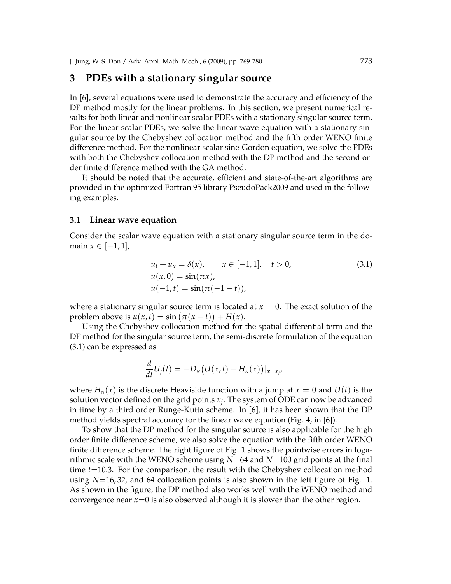### **3 PDEs with a stationary singular source**

In [6], several equations were used to demonstrate the accuracy and efficiency of the DP method mostly for the linear problems. In this section, we present numerical results for both linear and nonlinear scalar PDEs with a stationary singular source term. For the linear scalar PDEs, we solve the linear wave equation with a stationary singular source by the Chebyshev collocation method and the fifth order WENO finite difference method. For the nonlinear scalar sine-Gordon equation, we solve the PDEs with both the Chebyshev collocation method with the DP method and the second order finite difference method with the GA method.

It should be noted that the accurate, efficient and state-of-the-art algorithms are provided in the optimized Fortran 95 library PseudoPack2009 and used in the following examples.

#### **3.1 Linear wave equation**

Consider the scalar wave equation with a stationary singular source term in the domain *x* ∈  $[-1, 1]$ ,

$$
u_t + u_x = \delta(x), \qquad x \in [-1, 1], \quad t > 0,
$$
  
\n
$$
u(x, 0) = \sin(\pi x),
$$
  
\n
$$
u(-1, t) = \sin(\pi(-1 - t)),
$$
\n(3.1)

where a stationary singular source term is located at  $x = 0$ . The exact solution of the problem above is  $u(x,t) = \sin(\pi(x-t)) + H(x)$ .

Using the Chebyshev collocation method for the spatial differential term and the DP method for the singular source term, the semi-discrete formulation of the equation (3.1) can be expressed as

$$
\frac{d}{dt}U_j(t)=-D_N\big(U(x,t)-H_N(x)\big)|_{x=x_j},
$$

where  $H_N(x)$  is the discrete Heaviside function with a jump at  $x = 0$  and  $U(t)$  is the solution vector defined on the grid points *x<sup>j</sup>* . The system of ODE can now be advanced in time by a third order Runge-Kutta scheme. In [6], it has been shown that the DP method yields spectral accuracy for the linear wave equation (Fig. 4, in [6]).

To show that the DP method for the singular source is also applicable for the high order finite difference scheme, we also solve the equation with the fifth order WENO finite difference scheme. The right figure of Fig. 1 shows the pointwise errors in logarithmic scale with the WENO scheme using *N*=64 and *N*=100 grid points at the final time *t*=10.3. For the comparison, the result with the Chebyshev collocation method using *N*=16, 32, and 64 collocation points is also shown in the left figure of Fig. 1. As shown in the figure, the DP method also works well with the WENO method and convergence near *x*=0 is also observed although it is slower than the other region.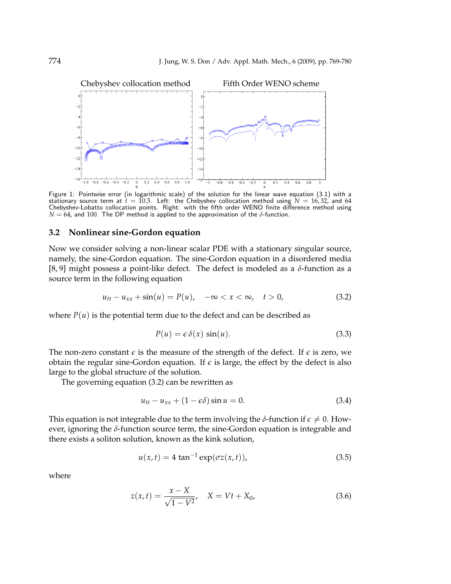

Figure 1: Pointwise error (in logarithmic scale) of the solution for the linear wave equation (3.1) with a stationary source term at  $\dot{t} = 10.3$ . Left: the Chebyshev collocation method using  $N = 16,32$ , and 64 Chebyshev-Lobatto collocation points. Right: with the fifth order WENO finite difference method using  $N = 64$ , and 100. The DP method is applied to the approximation of the  $\delta$ -function.

#### **3.2 Nonlinear sine-Gordon equation**

Now we consider solving a non-linear scalar PDE with a stationary singular source, namely, the sine-Gordon equation. The sine-Gordon equation in a disordered media [8, 9] might possess a point-like defect. The defect is modeled as a *δ*-function as a source term in the following equation

$$
u_{tt} - u_{xx} + \sin(u) = P(u), \quad -\infty < x < \infty, \quad t > 0,\tag{3.2}
$$

where  $P(u)$  is the potential term due to the defect and can be described as

$$
P(u) = \epsilon \, \delta(x) \, \sin(u). \tag{3.3}
$$

The non-zero constant  $\epsilon$  is the measure of the strength of the defect. If  $\epsilon$  is zero, we obtain the regular sine-Gordon equation. If  $\epsilon$  is large, the effect by the defect is also large to the global structure of the solution.

The governing equation (3.2) can be rewritten as

$$
u_{tt} - u_{xx} + (1 - \epsilon \delta) \sin u = 0. \tag{3.4}
$$

This equation is not integrable due to the term involving the  $\delta$ -function if  $\epsilon \neq 0$ . However, ignoring the *δ*-function source term, the sine-Gordon equation is integrable and there exists a soliton solution, known as the kink solution,

$$
u(x,t) = 4 \tan^{-1} \exp(\sigma z(x,t)), \tag{3.5}
$$

where

$$
z(x,t) = \frac{x - X}{\sqrt{1 - V^2}}, \quad X = Vt + X_0,
$$
\n(3.6)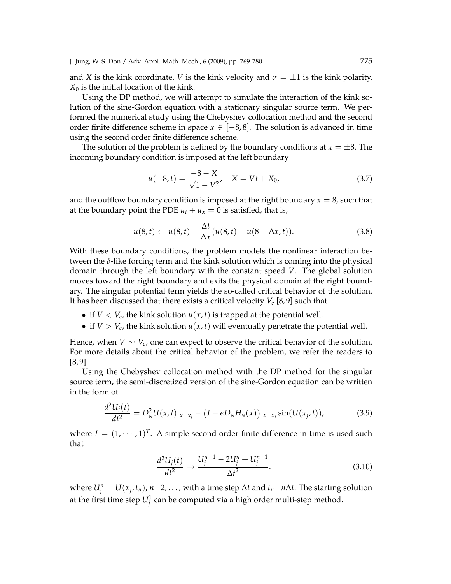J. Jung, W. S. Don / Adv. Appl. Math. Mech., 6 (2009), pp. 769-780 775

and *X* is the kink coordinate, *V* is the kink velocity and  $\sigma = \pm 1$  is the kink polarity.  $X_0$  is the initial location of the kink.

Using the DP method, we will attempt to simulate the interaction of the kink solution of the sine-Gordon equation with a stationary singular source term. We performed the numerical study using the Chebyshev collocation method and the second order finite difference scheme in space  $x \in [-8, 8]$ . The solution is advanced in time using the second order finite difference scheme.

The solution of the problem is defined by the boundary conditions at  $x = \pm 8$ . The incoming boundary condition is imposed at the left boundary

$$
u(-8,t) = \frac{-8 - X}{\sqrt{1 - V^2}}, \quad X = Vt + X_0,
$$
\n(3.7)

and the outflow boundary condition is imposed at the right boundary  $x = 8$ , such that at the boundary point the PDE  $u_t + u_x = 0$  is satisfied, that is,

$$
u(8,t) \leftarrow u(8,t) - \frac{\Delta t}{\Delta x}(u(8,t) - u(8-\Delta x,t)). \tag{3.8}
$$

With these boundary conditions, the problem models the nonlinear interaction between the *δ*-like forcing term and the kink solution which is coming into the physical domain through the left boundary with the constant speed *V*. The global solution moves toward the right boundary and exits the physical domain at the right boundary. The singular potential term yields the so-called critical behavior of the solution. It has been discussed that there exists a critical velocity *V<sup>c</sup>* [8, 9] such that

- if  $V < V_c$ , the kink solution  $u(x, t)$  is trapped at the potential well.
- if  $V > V_c$ , the kink solution  $u(x, t)$  will eventually penetrate the potential well.

Hence, when  $V \sim V_c$ , one can expect to observe the critical behavior of the solution. For more details about the critical behavior of the problem, we refer the readers to [8, 9].

Using the Chebyshev collocation method with the DP method for the singular source term, the semi-discretized version of the sine-Gordon equation can be written in the form of

$$
\frac{d^2U_j(t)}{dt^2} = D_N^2U(x,t)|_{x=x_j} - (I - \epsilon D_N H_N(x))|_{x=x_j} \sin(U(x_j,t)),
$$
\n(3.9)

where  $I = (1, \dots, 1)^T$ . A simple second order finite difference in time is used such that

$$
\frac{d^2U_j(t)}{dt^2} \to \frac{U_j^{n+1} - 2U_j^n + U_j^{n-1}}{\Delta t^2}.
$$
\n(3.10)

where  $U_j^n = U(x_j, t_n)$ ,  $n=2,\ldots$ , with a time step  $\Delta t$  and  $t_n=n\Delta t$ . The starting solution at the first time step  $U_j^1$  can be computed via a high order multi-step method.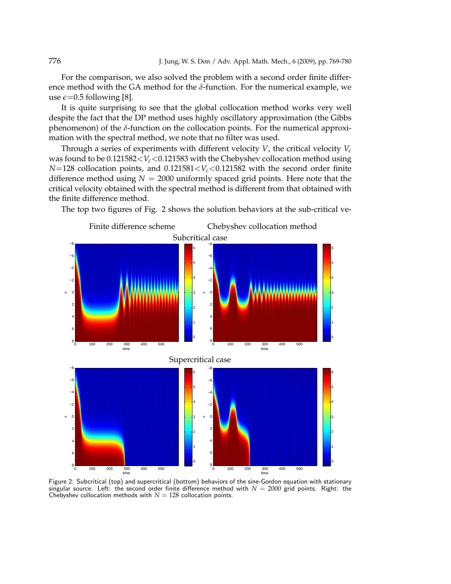For the comparison, we also solved the problem with a second order finite difference method with the GA method for the *δ*-function. For the numerical example, we use  $\epsilon$ =0.5 following [8].

It is quite surprising to see that the global collocation method works very well despite the fact that the DP method uses highly oscillatory approximation (the Gibbs phenomenon) of the *δ*-function on the collocation points. For the numerical approximation with the spectral method, we note that no filter was used.

Through a series of experiments with different velocity *V*, the critical velocity  $V_c$ was found to be  $0.121582 < V_c < 0.121583$  with the Chebyshev collocation method using *N*=128 collocation points, and 0.121581<*Vc*<0.121582 with the second order finite difference method using  $N = 2000$  uniformly spaced grid points. Here note that the critical velocity obtained with the spectral method is different from that obtained with the finite difference method.

The top two figures of Fig. 2 shows the solution behaviors at the sub-critical ve-



Figure 2: Subcritical (top) and supercritical (bottom) behaviors of the sine-Gordon equation with stationary singular source. Left: the second order finite difference method with  $N = 2000$  grid points. Right: the Chebyshev collocation methods with  $N = 128$  collocation points.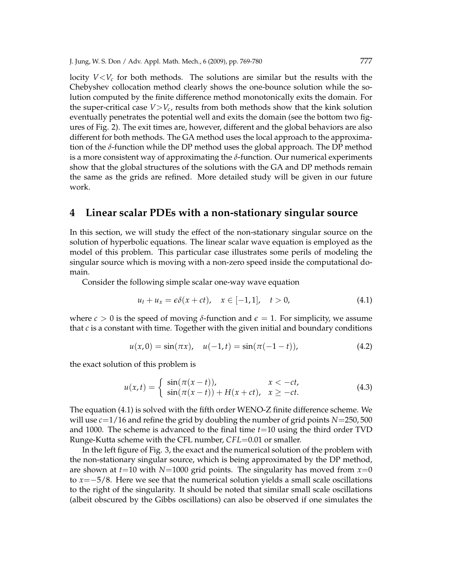locity  $V < V_c$  for both methods. The solutions are similar but the results with the Chebyshev collocation method clearly shows the one-bounce solution while the solution computed by the finite difference method monotonically exits the domain. For the super-critical case  $V>V_c$ , results from both methods show that the kink solution eventually penetrates the potential well and exits the domain (see the bottom two figures of Fig. 2). The exit times are, however, different and the global behaviors are also different for both methods. The GA method uses the local approach to the approximation of the *δ*-function while the DP method uses the global approach. The DP method is a more consistent way of approximating the *δ*-function. Our numerical experiments show that the global structures of the solutions with the GA and DP methods remain the same as the grids are refined. More detailed study will be given in our future work.

### **4 Linear scalar PDEs with a non-stationary singular source**

In this section, we will study the effect of the non-stationary singular source on the solution of hyperbolic equations. The linear scalar wave equation is employed as the model of this problem. This particular case illustrates some perils of modeling the singular source which is moving with a non-zero speed inside the computational domain.

Consider the following simple scalar one-way wave equation

$$
u_t + u_x = \epsilon \delta(x + ct), \quad x \in [-1, 1], \quad t > 0,
$$
\n(4.1)

where  $c > 0$  is the speed of moving  $\delta$ -function and  $\epsilon = 1$ . For simplicity, we assume that *c* is a constant with time. Together with the given initial and boundary conditions

$$
u(x,0) = \sin(\pi x), \quad u(-1,t) = \sin(\pi(-1-t)), \tag{4.2}
$$

the exact solution of this problem is

$$
u(x,t) = \begin{cases} \sin(\pi(x-t)), & x < -ct, \\ \sin(\pi(x-t)) + H(x+ct), & x \ge -ct. \end{cases}
$$
(4.3)

The equation (4.1) is solved with the fifth order WENO-Z finite difference scheme. We will use *c*=1/16 and refine the grid by doubling the number of grid points *N*=250, 500 and 1000. The scheme is advanced to the final time *t*=10 using the third order TVD Runge-Kutta scheme with the CFL number, *CFL*=0.01 or smaller.

In the left figure of Fig. 3, the exact and the numerical solution of the problem with the non-stationary singular source, which is being approximated by the DP method, are shown at  $t=10$  with  $N=1000$  grid points. The singularity has moved from  $x=0$ to *x*=−5/8. Here we see that the numerical solution yields a small scale oscillations to the right of the singularity. It should be noted that similar small scale oscillations (albeit obscured by the Gibbs oscillations) can also be observed if one simulates the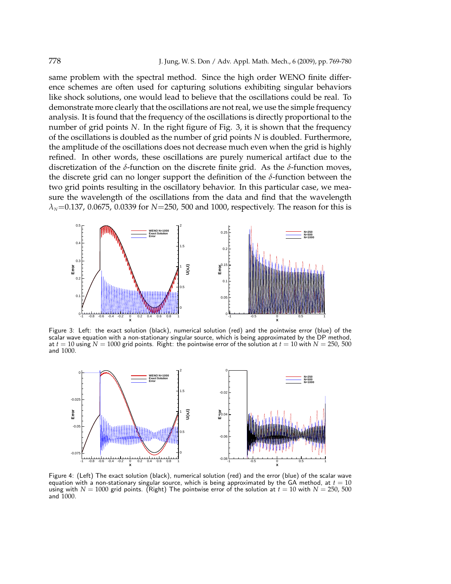same problem with the spectral method. Since the high order WENO finite difference schemes are often used for capturing solutions exhibiting singular behaviors like shock solutions, one would lead to believe that the oscillations could be real. To demonstrate more clearly that the oscillations are not real, we use the simple frequency analysis. It is found that the frequency of the oscillations is directly proportional to the number of grid points *N*. In the right figure of Fig. 3, it is shown that the frequency of the oscillations is doubled as the number of grid points *N* is doubled. Furthermore, the amplitude of the oscillations does not decrease much even when the grid is highly refined. In other words, these oscillations are purely numerical artifact due to the discretization of the *δ*-function on the discrete finite grid. As the *δ*-function moves, the discrete grid can no longer support the definition of the *δ*-function between the two grid points resulting in the oscillatory behavior. In this particular case, we measure the wavelength of the oscillations from the data and find that the wavelength *λN*=0.137, 0.0675, 0.0339 for *N*=250, 500 and 1000, respectively. The reason for this is



Figure 3: Left: the exact solution (black), numerical solution (red) and the pointwise error (blue) of the scalar wave equation with a non-stationary singular source, which is being approximated by the DP method, at  $t = 10$  using  $N = 1000$  grid points. Right: the pointwise error of the solution at  $t = 10$  with  $N = 250$ , 500 and 1000.



Figure 4: (Left) The exact solution (black), numerical solution (red) and the error (blue) of the scalar wave equation with a non-stationary singular source, which is being approximated by the GA method, at  $t = 10$ using with  $N = 1000$  grid points. (Right) The pointwise error of the solution at  $t = 10$  with  $N = 250, 500$ and 1000.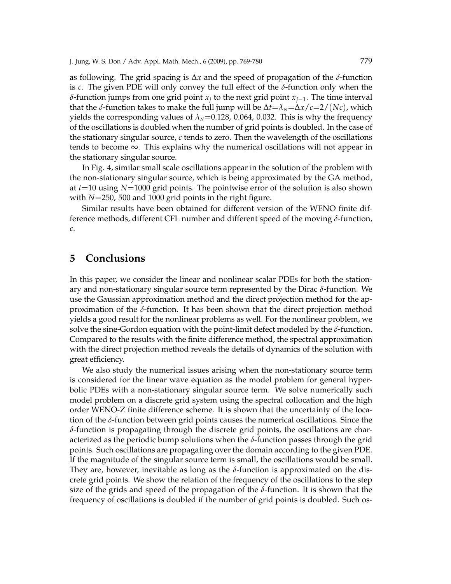J. Jung, W. S. Don / Adv. Appl. Math. Mech., 6 (2009), pp. 769-780 779

as following. The grid spacing is ∆*x* and the speed of propagation of the *δ*-function is *c*. The given PDE will only convey the full effect of the *δ*-function only when the *δ*-function jumps from one grid point *x<sup>j</sup>* to the next grid point *xj*−1. The time interval that the *δ*-function takes to make the full jump will be  $Δt = λ<sub>N</sub> = Δx/c = 2/(Nc)$ , which yields the corresponding values of  $\lambda_N$ =0.128, 0.064, 0.032. This is why the frequency of the oscillations is doubled when the number of grid points is doubled. In the case of the stationary singular source, *c* tends to zero. Then the wavelength of the oscillations tends to become  $\infty$ . This explains why the numerical oscillations will not appear in the stationary singular source.

In Fig. 4, similar small scale oscillations appear in the solution of the problem with the non-stationary singular source, which is being approximated by the GA method, at *t*=10 using *N*=1000 grid points. The pointwise error of the solution is also shown with *N*=250, 500 and 1000 grid points in the right figure.

Similar results have been obtained for different version of the WENO finite difference methods, different CFL number and different speed of the moving *δ*-function, *c*.

### **5 Conclusions**

In this paper, we consider the linear and nonlinear scalar PDEs for both the stationary and non-stationary singular source term represented by the Dirac *δ*-function. We use the Gaussian approximation method and the direct projection method for the approximation of the *δ*-function. It has been shown that the direct projection method yields a good result for the nonlinear problems as well. For the nonlinear problem, we solve the sine-Gordon equation with the point-limit defect modeled by the *δ*-function. Compared to the results with the finite difference method, the spectral approximation with the direct projection method reveals the details of dynamics of the solution with great efficiency.

We also study the numerical issues arising when the non-stationary source term is considered for the linear wave equation as the model problem for general hyperbolic PDEs with a non-stationary singular source term. We solve numerically such model problem on a discrete grid system using the spectral collocation and the high order WENO-Z finite difference scheme. It is shown that the uncertainty of the location of the *δ*-function between grid points causes the numerical oscillations. Since the *δ*-function is propagating through the discrete grid points, the oscillations are characterized as the periodic bump solutions when the *δ*-function passes through the grid points. Such oscillations are propagating over the domain according to the given PDE. If the magnitude of the singular source term is small, the oscillations would be small. They are, however, inevitable as long as the  $\delta$ -function is approximated on the discrete grid points. We show the relation of the frequency of the oscillations to the step size of the grids and speed of the propagation of the  $\delta$ -function. It is shown that the frequency of oscillations is doubled if the number of grid points is doubled. Such os